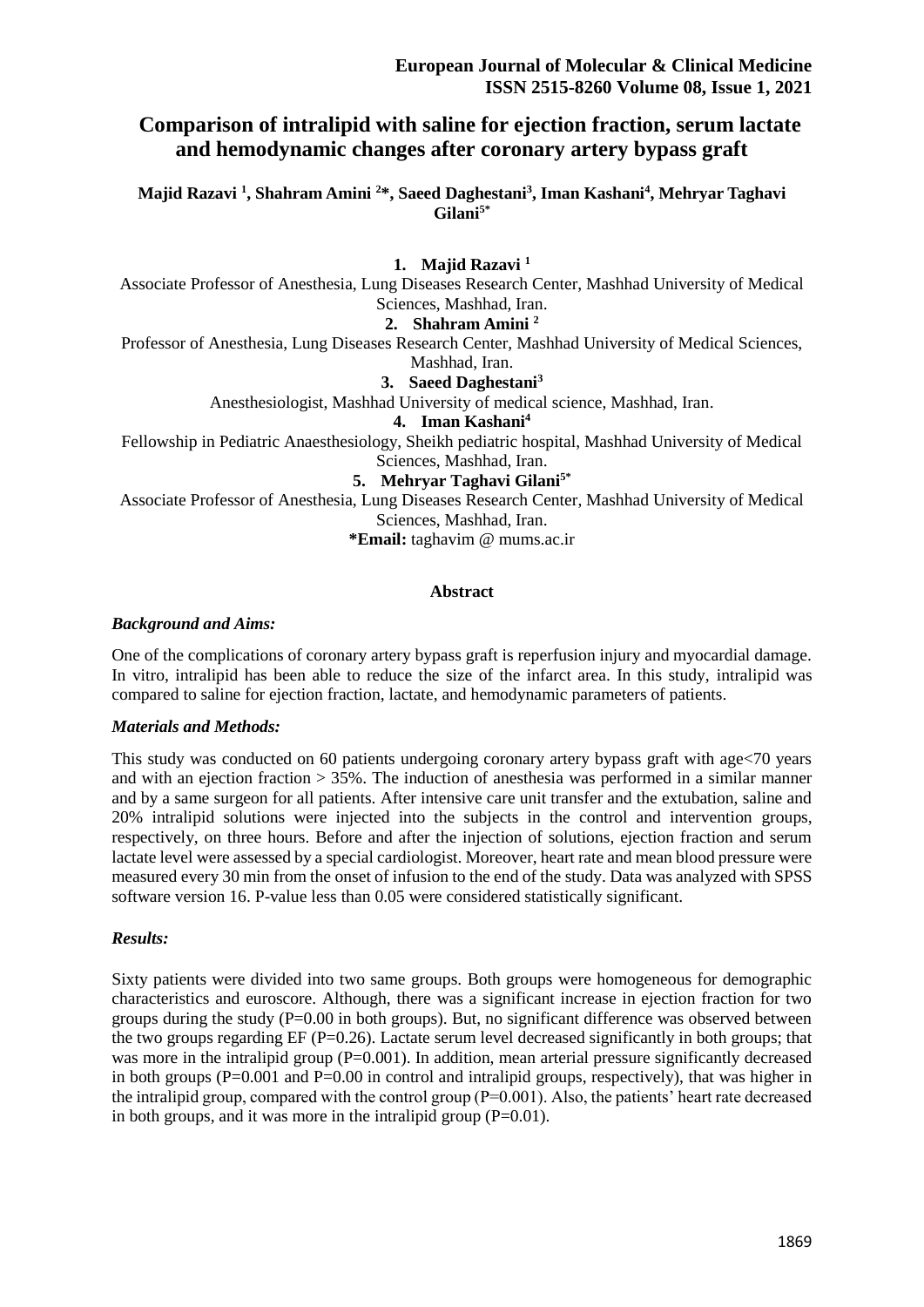# **Comparison of intralipid with saline for ejection fraction, serum lactate and hemodynamic changes after coronary artery bypass graft**

**Majid Razavi <sup>1</sup> , Shahram Amini <sup>2</sup>\*, Saeed Daghestani<sup>3</sup> , Iman Kashani<sup>4</sup> , Mehryar Taghavi Gilani5\***

**1. Majid Razavi <sup>1</sup>** Associate Professor of Anesthesia, Lung Diseases Research Center, Mashhad University of Medical Sciences, Mashhad, Iran. **2. Shahram Amini <sup>2</sup>** Professor of Anesthesia, Lung Diseases Research Center, Mashhad University of Medical Sciences, Mashhad, Iran. **3. Saeed Daghestani<sup>3</sup>** Anesthesiologist, Mashhad University of medical science, Mashhad, Iran. **4. Iman Kashani<sup>4</sup>** Fellowship in Pediatric Anaesthesiology, Sheikh pediatric hospital, Mashhad University of Medical Sciences, Mashhad, Iran.

**5. Mehryar Taghavi Gilani5\***

Associate Professor of Anesthesia, Lung Diseases Research Center, Mashhad University of Medical Sciences, Mashhad, Iran.

**\*Email:** taghavim @ mums.ac.ir

#### **Abstract**

#### *Background and Aims:*

One of the complications of coronary artery bypass graft is reperfusion injury and myocardial damage. In vitro, intralipid has been able to reduce the size of the infarct area. In this study, intralipid was compared to saline for ejection fraction, lactate, and hemodynamic parameters of patients.

#### *Materials and Methods:*

This study was conducted on 60 patients undergoing coronary artery bypass graft with age<70 years and with an ejection fraction  $> 35\%$ . The induction of anesthesia was performed in a similar manner and by a same surgeon for all patients. After intensive care unit transfer and the extubation, saline and 20% intralipid solutions were injected into the subjects in the control and intervention groups, respectively, on three hours. Before and after the injection of solutions, ejection fraction and serum lactate level were assessed by a special cardiologist. Moreover, heart rate and mean blood pressure were measured every 30 min from the onset of infusion to the end of the study. Data was analyzed with SPSS software version 16. P-value less than 0.05 were considered statistically significant.

#### *Results:*

Sixty patients were divided into two same groups. Both groups were homogeneous for demographic characteristics and euroscore. Although, there was a significant increase in ejection fraction for two groups during the study  $(P=0.00$  in both groups). But, no significant difference was observed between the two groups regarding  $EF$  ( $P=0.26$ ). Lactate serum level decreased significantly in both groups; that was more in the intralipid group (P=0.001). In addition, mean arterial pressure significantly decreased in both groups (P=0.001 and P=0.00 in control and intralipid groups, respectively), that was higher in the intralipid group, compared with the control group  $(P=0.001)$ . Also, the patients' heart rate decreased in both groups, and it was more in the intralipid group (P=0.01).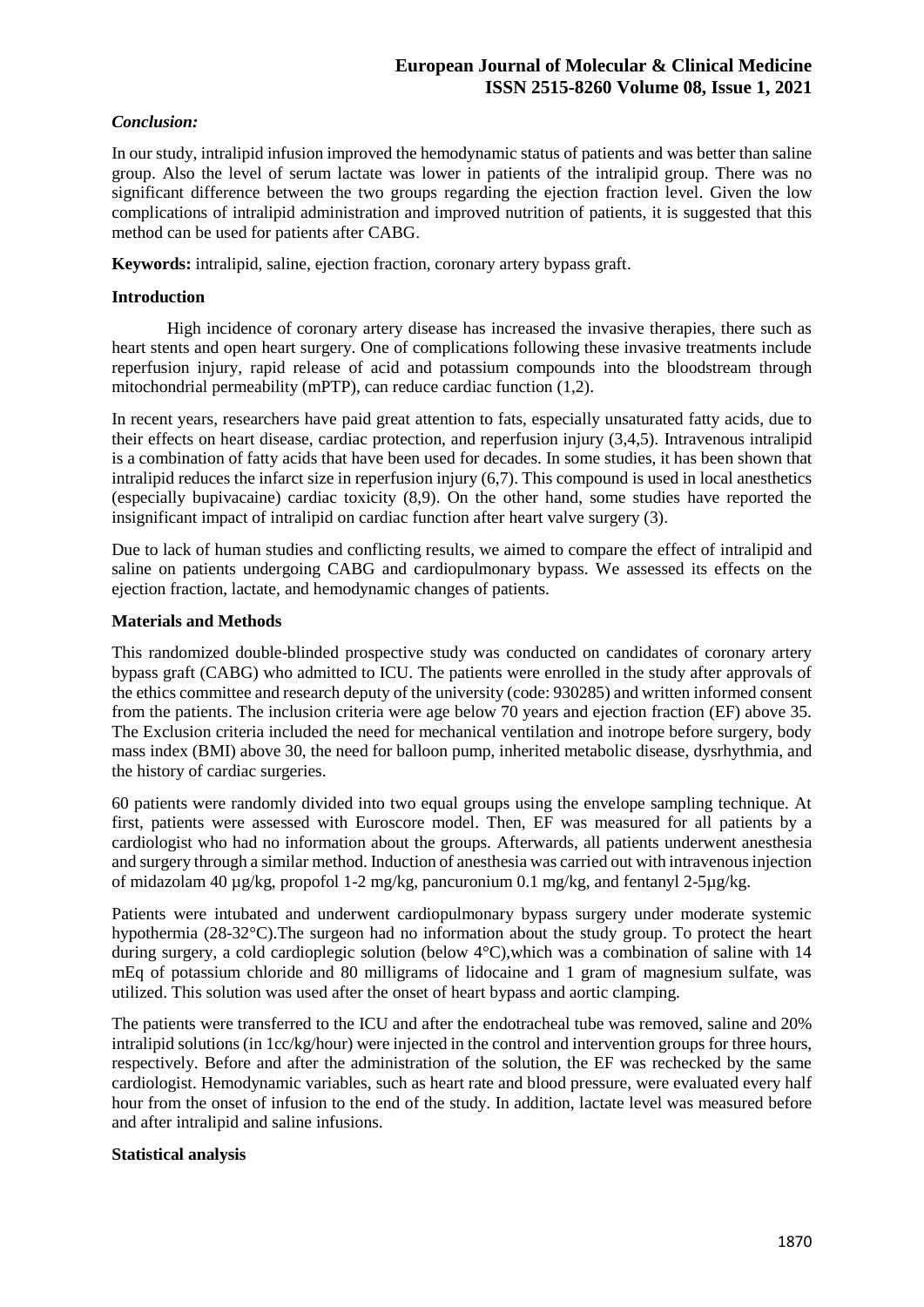### *Conclusion:*

In our study, intralipid infusion improved the hemodynamic status of patients and was better than saline group. Also the level of serum lactate was lower in patients of the intralipid group. There was no significant difference between the two groups regarding the ejection fraction level. Given the low complications of intralipid administration and improved nutrition of patients, it is suggested that this method can be used for patients after CABG.

**Keywords:** intralipid, saline, ejection fraction, coronary artery bypass graft.

### **Introduction**

 High incidence of coronary artery disease has increased the invasive therapies, there such as heart stents and open heart surgery. One of complications following these invasive treatments include reperfusion injury, rapid release of acid and potassium compounds into the bloodstream through mitochondrial permeability (mPTP), can reduce cardiac function (1,2).

In recent years, researchers have paid great attention to fats, especially unsaturated fatty acids, due to their effects on heart disease, cardiac protection, and reperfusion injury (3,4,5). [Intravenous](https://en.wikipedia.org/wiki/Intravenous) intralipid is a combination of fatty acids that have been used for decades. In some studies, it has been shown that intralipid reduces the infarct size in reperfusion injury (6,7). This compound is used in local anesthetics (especially bupivacaine) cardiac toxicity (8,9). On the other hand, some studies have reported the insignificant impact of intralipid on cardiac function after heart valve surgery (3).

Due to lack of human studies and conflicting results, we aimed to compare the effect of intralipid and saline on patients undergoing CABG and cardiopulmonary bypass. We assessed its effects on the ejection fraction, lactate, and hemodynamic changes of patients.

### **Materials and Methods**

This randomized double-blinded prospective study was conducted on candidates of coronary artery bypass graft (CABG) who admitted to ICU. The patients were enrolled in the study after approvals of the ethics committee and research deputy of the university (code: 930285) and written informed consent from the patients. The inclusion criteria were age below 70 years and ejection fraction (EF) above 35. The Exclusion criteria included the need for mechanical ventilation and inotrope before surgery, body mass index (BMI) above 30, the need for balloon pump, inherited metabolic disease, dysrhythmia, and the history of cardiac surgeries.

60 patients were randomly divided into two equal groups using the envelope sampling technique. At first, patients were assessed with Euroscore model. Then, EF was measured for all patients by a cardiologist who had no information about the groups. Afterwards, all patients underwent anesthesia and surgery through a similar method. Induction of anesthesia was carried out with intravenous injection of midazolam 40 µg/kg, propofol 1-2 mg/kg, pancuronium 0.1 mg/kg, and fentanyl 2-5µg/kg.

Patients were intubated and underwent cardiopulmonary bypass surgery under moderate systemic hypothermia (28-32°C).The surgeon had no information about the study group. To protect the heart during surgery, a cold cardioplegic solution (below 4°C),which was a combination of saline with 14 mEq of potassium chloride and 80 milligrams of lidocaine and 1 gram of magnesium sulfate, was utilized. This solution was used after the onset of heart bypass and aortic clamping.

The patients were transferred to the ICU and after the endotracheal tube was removed, saline and 20% intralipid solutions (in 1cc/kg/hour) were injected in the control and intervention groups for three hours, respectively. Before and after the administration of the solution, the EF was rechecked by the same cardiologist. Hemodynamic variables, such as heart rate and blood pressure, were evaluated every half hour from the onset of infusion to the end of the study. In addition, lactate level was measured before and after intralipid and saline infusions.

## **Statistical analysis**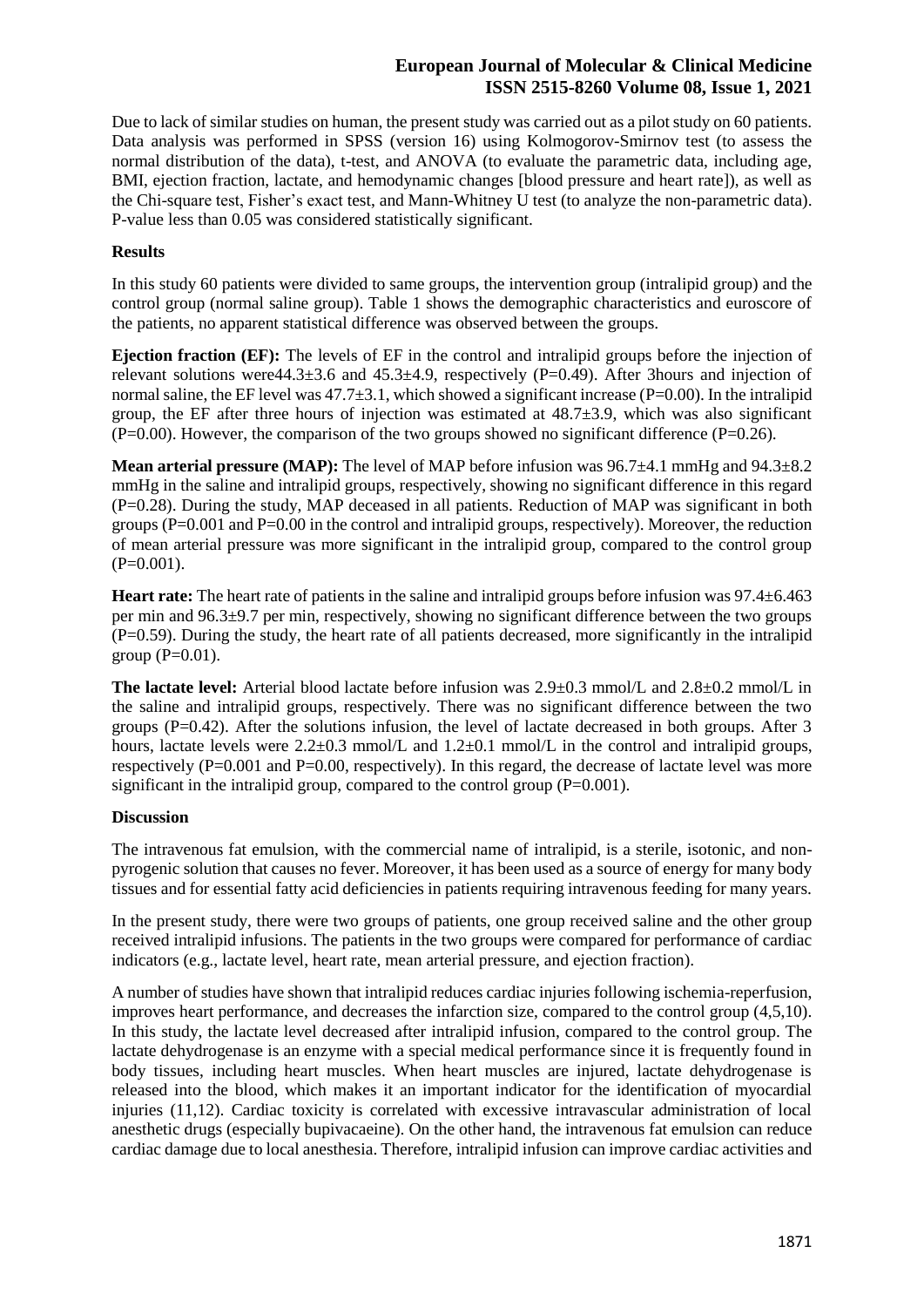Due to lack of similar studies on human, the present study was carried out as a pilot study on 60 patients. Data analysis was performed in SPSS (version 16) using Kolmogorov-Smirnov test (to assess the normal distribution of the data), t-test, and ANOVA (to evaluate the parametric data, including age, BMI, ejection fraction, lactate, and hemodynamic changes [blood pressure and heart rate]), as well as the Chi-square test, Fisher's exact test, and Mann-Whitney U test (to analyze the non-parametric data). P-value less than 0.05 was considered statistically significant.

### **Results**

In this study 60 patients were divided to same groups, the intervention group (intralipid group) and the control group (normal saline group). Table 1 shows the demographic characteristics and euroscore of the patients, no apparent statistical difference was observed between the groups.

**Ejection fraction (EF):** The levels of EF in the control and intralipid groups before the injection of relevant solutions were  $44.3\pm3.6$  and  $45.3\pm4.9$ , respectively (P=0.49). After 3hours and injection of normal saline, the EF level was  $47.7\pm3.1$ , which showed a significant increase (P=0.00). In the intralipid group, the EF after three hours of injection was estimated at  $48.7\pm3.9$ , which was also significant  $(P=0.00)$ . However, the comparison of the two groups showed no significant difference  $(P=0.26)$ .

**Mean arterial pressure (MAP):** The level of MAP before infusion was 96.7±4.1 mmHg and 94.3±8.2 mmHg in the saline and intralipid groups, respectively, showing no significant difference in this regard (P=0.28). During the study, MAP deceased in all patients. Reduction of MAP was significant in both groups (P=0.001 and P=0.00 in the control and intralipid groups, respectively). Moreover, the reduction of mean arterial pressure was more significant in the intralipid group, compared to the control group  $(P=0.001)$ .

**Heart rate:** The heart rate of patients in the saline and intralipid groups before infusion was 97.4±6.463 per min and 96.3±9.7 per min, respectively, showing no significant difference between the two groups  $(P=0.59)$ . During the study, the heart rate of all patients decreased, more significantly in the intralipid group  $(P=0.01)$ .

**The lactate level:** Arterial blood lactate before infusion was 2.9±0.3 mmol/L and 2.8±0.2 mmol/L in the saline and intralipid groups, respectively. There was no significant difference between the two groups  $(P=0.42)$ . After the solutions infusion, the level of lactate decreased in both groups. After 3 hours, lactate levels were  $2.2\pm0.3$  mmol/L and  $1.2\pm0.1$  mmol/L in the control and intralipid groups, respectively  $(P=0.001$  and  $P=0.00$ , respectively). In this regard, the decrease of lactate level was more significant in the intralipid group, compared to the control group (P=0.001).

### **Discussion**

The intravenous fat emulsion, with the commercial name of intralipid, is a sterile, isotonic, and nonpyrogenic solution that causes no fever. Moreover, it has been used as a source of energy for many body tissues and for essential fatty acid deficiencies in patients requiring intravenous feeding for many years.

In the present study, there were two groups of patients, one group received saline and the other group received intralipid infusions. The patients in the two groups were compared for performance of cardiac indicators (e.g., lactate level, heart rate, mean arterial pressure, and ejection fraction).

A number of studies have shown that intralipid reduces cardiac injuries following ischemia-reperfusion, improves heart performance, and decreases the infarction size, compared to the control group (4,5,10). In this study, the lactate level decreased after intralipid infusion, compared to the control group. The lactate dehydrogenase is an enzyme with a special medical performance since it is frequently found in body tissues, including heart muscles. When heart muscles are injured, lactate dehydrogenase is released into the blood, which makes it an important indicator for the identification of myocardial injuries (11,12). Cardiac toxicity is correlated with excessive intravascular administration of local anesthetic drugs (especially bupivacaeine). On the other hand, the intravenous fat emulsion can reduce cardiac damage due to local anesthesia. Therefore, intralipid infusion can improve cardiac activities and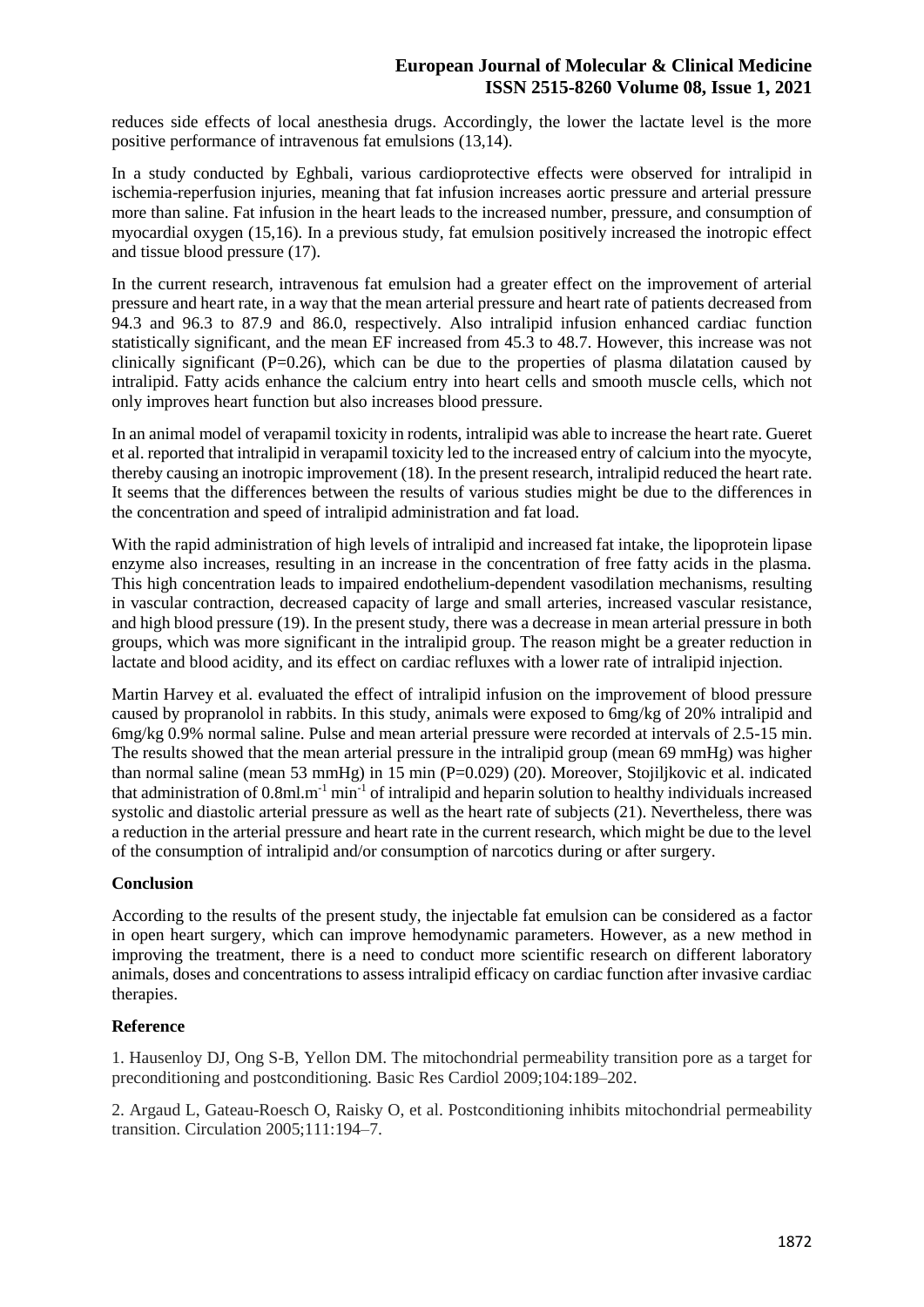reduces side effects of local anesthesia drugs. Accordingly, the lower the lactate level is the more positive performance of intravenous fat emulsions (13,14).

In a study conducted by Eghbali, various cardioprotective effects were observed for intralipid in ischemia-reperfusion injuries, meaning that fat infusion increases aortic pressure and arterial pressure more than saline. Fat infusion in the heart leads to the increased number, pressure, and consumption of myocardial oxygen (15,16). In a previous study, fat emulsion positively increased the inotropic effect and tissue blood pressure (17).

In the current research, intravenous fat emulsion had a greater effect on the improvement of arterial pressure and heart rate, in a way that the mean arterial pressure and heart rate of patients decreased from 94.3 and 96.3 to 87.9 and 86.0, respectively. Also intralipid infusion enhanced cardiac function statistically significant, and the mean EF increased from 45.3 to 48.7. However, this increase was not clinically significant  $(P=0.26)$ , which can be due to the properties of plasma dilatation caused by intralipid. Fatty acids enhance the calcium entry into heart cells and smooth muscle cells, which not only improves heart function but also increases blood pressure.

In an animal model of verapamil toxicity in rodents, intralipid was able to increase the heart rate. Gueret et al. reported that intralipid in verapamil toxicity led to the increased entry of calcium into the myocyte, thereby causing an inotropic improvement (18). In the present research, intralipid reduced the heart rate. It seems that the differences between the results of various studies might be due to the differences in the concentration and speed of intralipid administration and fat load.

With the rapid administration of high levels of intralipid and increased fat intake, the lipoprotein lipase enzyme also increases, resulting in an increase in the concentration of free fatty acids in the plasma. This high concentration leads to impaired endothelium-dependent vasodilation mechanisms, resulting in vascular contraction, decreased capacity of large and small arteries, increased vascular resistance, and high blood pressure (19). In the present study, there was a decrease in mean arterial pressure in both groups, which was more significant in the intralipid group. The reason might be a greater reduction in lactate and blood acidity, and its effect on cardiac refluxes with a lower rate of intralipid injection.

Martin Harvey et al. evaluated the effect of intralipid infusion on the improvement of blood pressure caused by propranolol in rabbits. In this study, animals were exposed to 6mg/kg of 20% intralipid and 6mg/kg 0.9% normal saline. Pulse and mean arterial pressure were recorded at intervals of 2.5-15 min. The results showed that the mean arterial pressure in the intralipid group (mean 69 mmHg) was higher than normal saline (mean 53 mmHg) in  $15$  min (P=0.029) (20). Moreover, Stojiljkovic et al. indicated that administration of  $0.8$ ml.m<sup>-1</sup> min<sup>-1</sup> of intralipid and heparin solution to healthy individuals increased systolic and diastolic arterial pressure as well as the heart rate of subjects (21). Nevertheless, there was a reduction in the arterial pressure and heart rate in the current research, which might be due to the level of the consumption of intralipid and/or consumption of narcotics during or after surgery.

## **Conclusion**

According to the results of the present study, the injectable fat emulsion can be considered as a factor in open heart surgery, which can improve hemodynamic parameters. However, as a new method in improving the treatment, there is a need to conduct more scientific research on different laboratory animals, doses and concentrations to assess intralipid efficacy on cardiac function after invasive cardiac therapies.

### **Reference**

1. Hausenloy DJ, Ong S-B, Yellon DM. The mitochondrial permeability transition pore as a target for preconditioning and postconditioning. Basic Res Cardiol 2009;104:189–202.

2. Argaud L, Gateau-Roesch O, Raisky O, et al. Postconditioning inhibits mitochondrial permeability transition. Circulation 2005;111:194–7.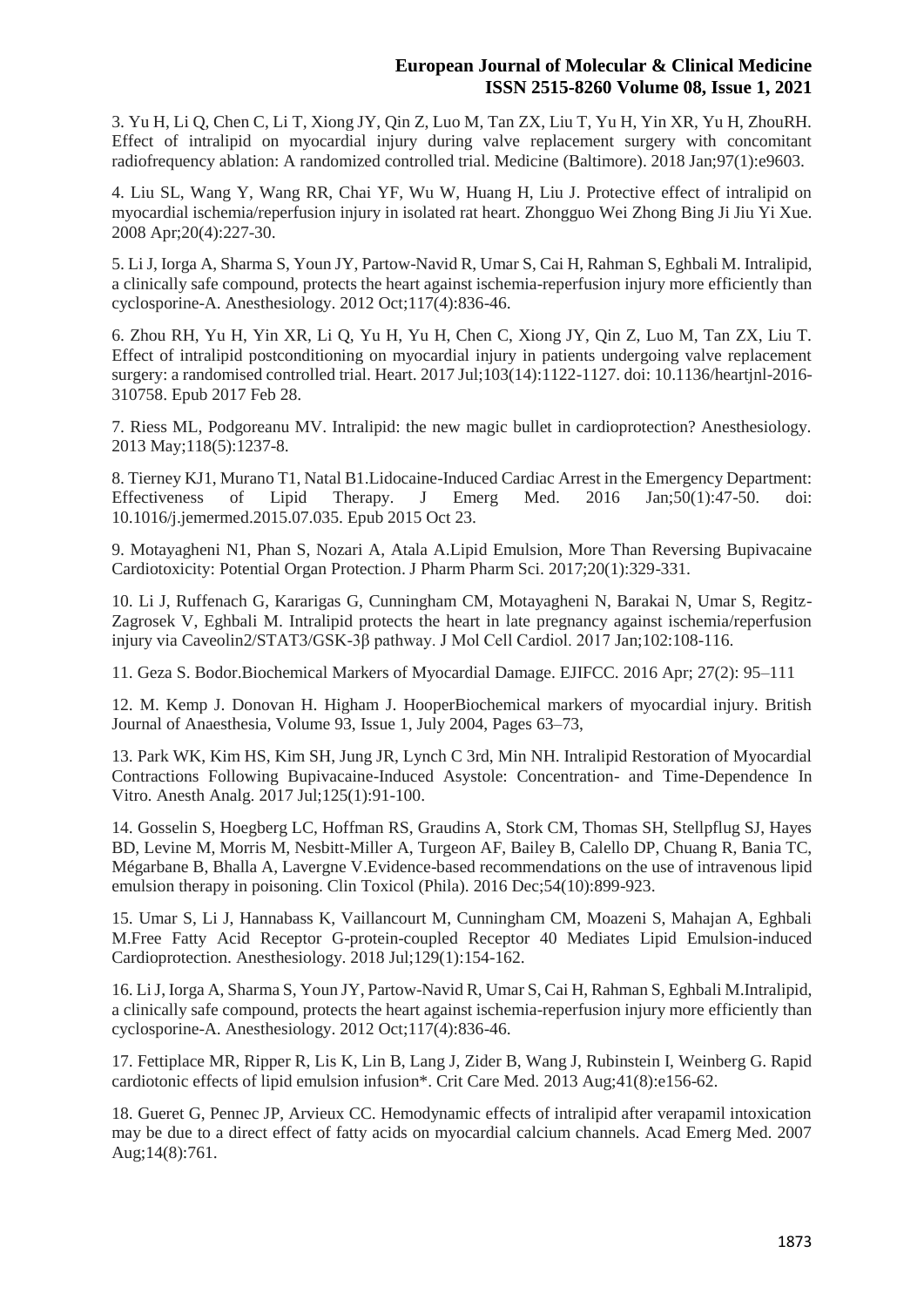3. Yu H, Li Q, Chen C, Li T, Xiong JY, Qin Z, Luo M, Tan ZX, Liu T, Yu H, Yin XR, Yu H, ZhouRH. Effect of intralipid on myocardial injury during valve replacement surgery with concomitant radiofrequency ablation: A randomized controlled trial. Medicine (Baltimore). 2018 Jan;97(1):e9603.

4. Liu SL, Wang Y, Wang RR, Chai YF, Wu W, Huang H, Liu J. Protective effect of intralipid on myocardial ischemia/reperfusion injury in isolated rat heart. Zhongguo Wei Zhong Bing Ji Jiu Yi Xue. 2008 Apr;20(4):227-30.

5. Li J, Iorga A, Sharma S, Youn JY, Partow-Navid R, Umar S, Cai H, Rahman S, Eghbali M. Intralipid, a clinically safe compound, protects the heart against ischemia-reperfusion injury more efficiently than cyclosporine-A. Anesthesiology. 2012 Oct;117(4):836-46.

6. Zhou RH, Yu H, Yin XR, Li Q, Yu H, Yu H, Chen C, Xiong JY, Qin Z, Luo M, Tan ZX, Liu T. Effect of intralipid postconditioning on myocardial injury in patients undergoing valve replacement surgery: a randomised controlled trial. Heart. 2017 Jul;103(14):1122-1127. doi: 10.1136/heartjnl-2016- 310758. Epub 2017 Feb 28.

7. Riess ML, Podgoreanu MV. Intralipid: the new magic bullet in cardioprotection? Anesthesiology. 2013 May;118(5):1237-8.

8. Tierney KJ1, Murano T1, Natal B1.Lidocaine-Induced Cardiac Arrest in the Emergency Department: Effectiveness of Lipid Therapy. J Emerg Med. 2016 Jan;50(1):47-50. doi: 10.1016/j.jemermed.2015.07.035. Epub 2015 Oct 23.

9. Motayagheni N1, Phan S, Nozari A, Atala A.Lipid Emulsion, More Than Reversing Bupivacaine Cardiotoxicity: Potential Organ Protection. J Pharm Pharm Sci. 2017;20(1):329-331.

10. Li J, Ruffenach G, Kararigas G, Cunningham CM, Motayagheni N, Barakai N, Umar S, Regitz-Zagrosek V, Eghbali M. Intralipid protects the heart in late pregnancy against ischemia/reperfusion injury via Caveolin2/STAT3/GSK-3β pathway. J Mol Cell Cardiol. 2017 Jan;102:108-116.

11. Geza S. Bodor.Biochemical Markers of Myocardial Damage. EJIFCC. 2016 Apr; 27(2): 95–111

12. M. Kemp J. Donovan H. Higham J. HooperBiochemical markers of myocardial injury. British Journal of Anaesthesia, Volume 93, Issue 1, July 2004, Pages 63–73,

13. Park WK, Kim HS, Kim SH, Jung JR, Lynch C 3rd, Min NH. Intralipid Restoration of Myocardial Contractions Following Bupivacaine-Induced Asystole: Concentration- and Time-Dependence In Vitro. Anesth Analg. 2017 Jul;125(1):91-100.

14. Gosselin S, Hoegberg LC, Hoffman RS, Graudins A, Stork CM, Thomas SH, Stellpflug SJ, Hayes BD, Levine M, Morris M, Nesbitt-Miller A, Turgeon AF, Bailey B, Calello DP, Chuang R, Bania TC, Mégarbane B, Bhalla A, Lavergne V.Evidence-based recommendations on the use of intravenous lipid emulsion therapy in poisoning. Clin Toxicol (Phila). 2016 Dec;54(10):899-923.

15. Umar S, Li J, Hannabass K, Vaillancourt M, Cunningham CM, Moazeni S, Mahajan A, Eghbali M.Free Fatty Acid Receptor G-protein-coupled Receptor 40 Mediates Lipid Emulsion-induced Cardioprotection. Anesthesiology. 2018 Jul;129(1):154-162.

16. Li J, Iorga A, Sharma S, Youn JY, Partow-Navid R, Umar S, Cai H, Rahman S, Eghbali M.Intralipid, a clinically safe compound, protects the heart against ischemia-reperfusion injury more efficiently than cyclosporine-A. Anesthesiology. 2012 Oct;117(4):836-46.

17. Fettiplace MR, Ripper R, Lis K, Lin B, Lang J, Zider B, Wang J, Rubinstein I, Weinberg G. Rapid cardiotonic effects of lipid emulsion infusion\*. Crit Care Med. 2013 Aug;41(8):e156-62.

18. Gueret G, Pennec JP, Arvieux CC. Hemodynamic effects of intralipid after verapamil intoxication may be due to a direct effect of fatty acids on myocardial calcium channels. Acad Emerg Med. 2007 Aug;14(8):761.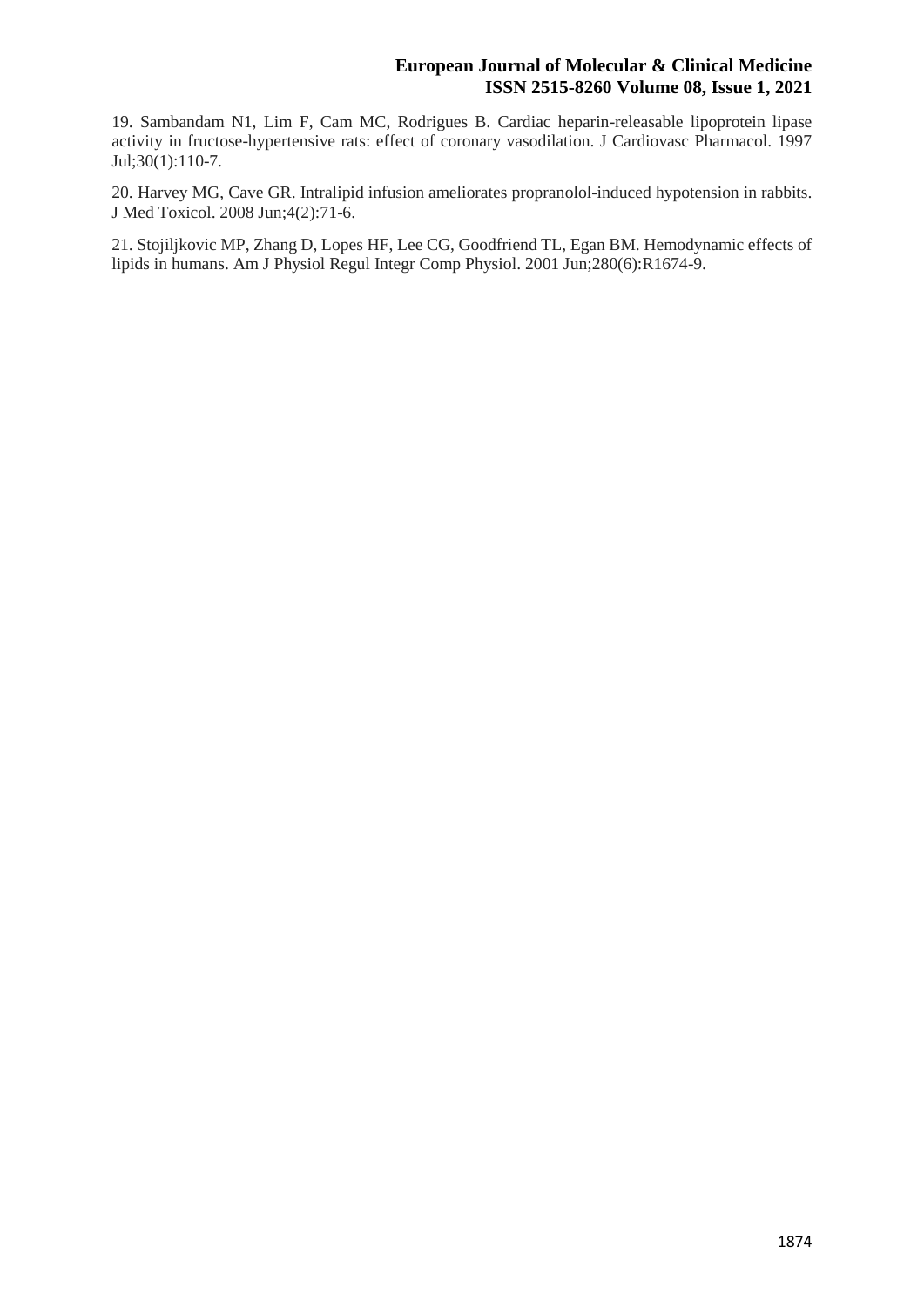19. Sambandam N1, Lim F, Cam MC, Rodrigues B. Cardiac heparin-releasable lipoprotein lipase activity in fructose-hypertensive rats: effect of coronary vasodilation. J Cardiovasc Pharmacol. 1997 Jul;30(1):110-7.

20. Harvey MG, Cave GR. Intralipid infusion ameliorates propranolol-induced hypotension in rabbits. J Med Toxicol. 2008 Jun;4(2):71-6.

21. Stojiljkovic MP, Zhang D, Lopes HF, Lee CG, Goodfriend TL, Egan BM. Hemodynamic effects of lipids in humans. Am J Physiol Regul Integr Comp Physiol. 2001 Jun;280(6):R1674-9.